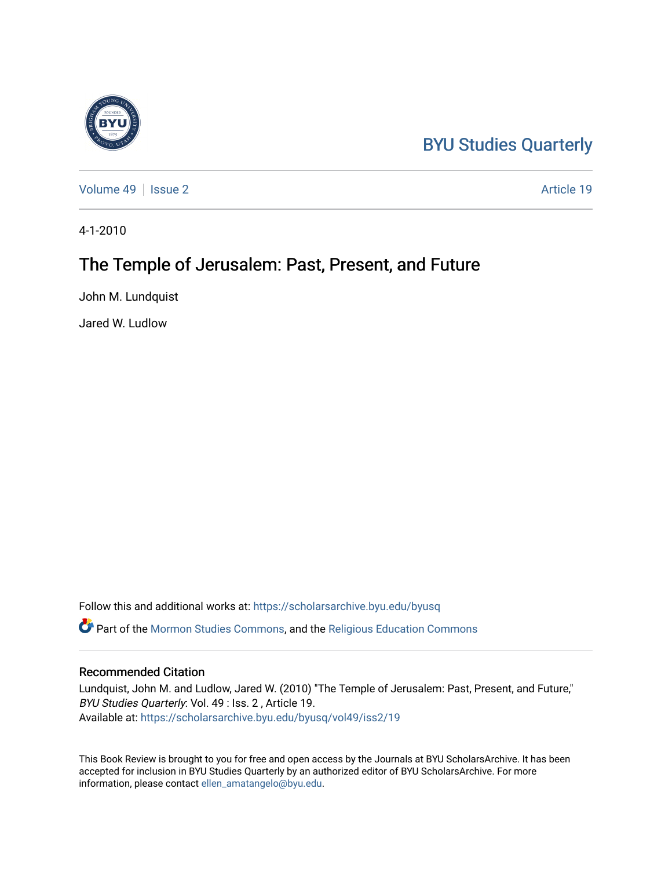## [BYU Studies Quarterly](https://scholarsarchive.byu.edu/byusq)

[Volume 49](https://scholarsarchive.byu.edu/byusq/vol49) | [Issue 2](https://scholarsarchive.byu.edu/byusq/vol49/iss2) Article 19

4-1-2010

## The Temple of Jerusalem: Past, Present, and Future

John M. Lundquist

Jared W. Ludlow

Follow this and additional works at: [https://scholarsarchive.byu.edu/byusq](https://scholarsarchive.byu.edu/byusq?utm_source=scholarsarchive.byu.edu%2Fbyusq%2Fvol49%2Fiss2%2F19&utm_medium=PDF&utm_campaign=PDFCoverPages)  Part of the [Mormon Studies Commons](http://network.bepress.com/hgg/discipline/1360?utm_source=scholarsarchive.byu.edu%2Fbyusq%2Fvol49%2Fiss2%2F19&utm_medium=PDF&utm_campaign=PDFCoverPages), and the [Religious Education Commons](http://network.bepress.com/hgg/discipline/1414?utm_source=scholarsarchive.byu.edu%2Fbyusq%2Fvol49%2Fiss2%2F19&utm_medium=PDF&utm_campaign=PDFCoverPages) 

## Recommended Citation

Lundquist, John M. and Ludlow, Jared W. (2010) "The Temple of Jerusalem: Past, Present, and Future," BYU Studies Quarterly: Vol. 49 : Iss. 2 , Article 19. Available at: [https://scholarsarchive.byu.edu/byusq/vol49/iss2/19](https://scholarsarchive.byu.edu/byusq/vol49/iss2/19?utm_source=scholarsarchive.byu.edu%2Fbyusq%2Fvol49%2Fiss2%2F19&utm_medium=PDF&utm_campaign=PDFCoverPages) 

This Book Review is brought to you for free and open access by the Journals at BYU ScholarsArchive. It has been accepted for inclusion in BYU Studies Quarterly by an authorized editor of BYU ScholarsArchive. For more information, please contact [ellen\\_amatangelo@byu.edu.](mailto:ellen_amatangelo@byu.edu)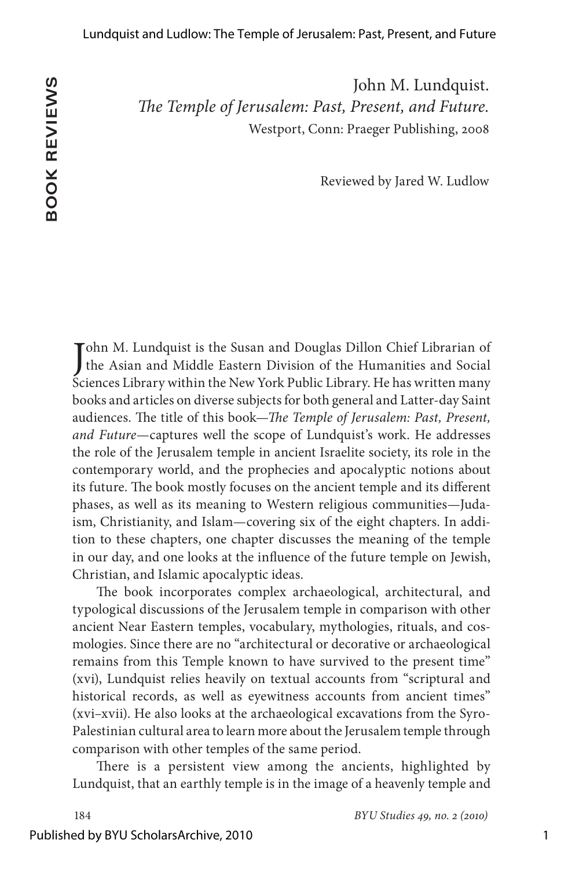John M. Lundquist. *The Temple of Jerusalem: Past, Present, and Future.* Westport, Conn: Praeger Publishing, 2008

Reviewed by Jared W. Ludlow

John M. Lundquist is the Susan and Douglas Dillon Chief Librarian of<br>the Asian and Middle Eastern Division of the Humanities and Social Tohn M. Lundquist is the Susan and Douglas Dillon Chief Librarian of Sciences Library within the New York Public Library. He has written many books and articles on diverse subjects for both general and Latter-day Saint audiences. The title of this book—*The Temple of Jerusalem: Past, Present, and Future*—captures well the scope of Lundquist's work. He addresses the role of the Jerusalem temple in ancient Israelite society, its role in the contemporary world, and the prophecies and apocalyptic notions about its future. The book mostly focuses on the ancient temple and its different phases, as well as its meaning to Western religious communities—Judaism, Christianity, and Islam—covering six of the eight chapters. In addition to these chapters, one chapter discusses the meaning of the temple in our day, and one looks at the influence of the future temple on Jewish, Christian, and Islamic apocalyptic ideas.

The book incorporates complex archaeological, architectural, and typological discussions of the Jerusalem temple in comparison with other ancient Near Eastern temples, vocabulary, mythologies, rituals, and cosmologies. Since there are no "architectural or decorative or archaeological remains from this Temple known to have survived to the present time" (xvi), Lundquist relies heavily on textual accounts from "scriptural and historical records, as well as eyewitness accounts from ancient times" (xvi–xvii). He also looks at the archaeological excavations from the Syro-Palestinian cultural area to learn more about the Jerusalem temple through comparison with other temples of the same period.

There is a persistent view among the ancients, highlighted by Lundquist, that an earthly temple is in the image of a heavenly temple and

184 *BYU Studies 9, no. 2 (210)*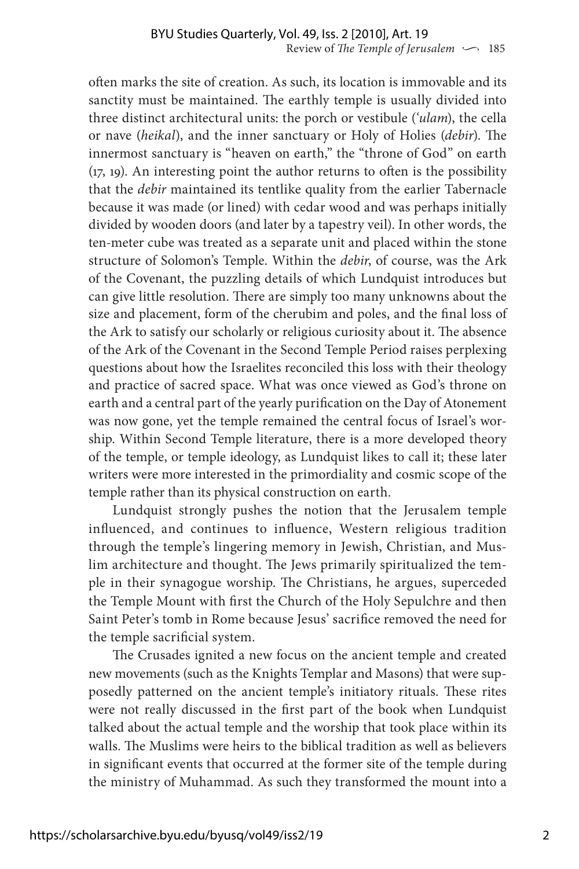often marks the site of creation. As such, its location is immovable and its sanctity must be maintained. The earthly temple is usually divided into three distinct architectural units: the porch or vestibule (*'ulam*), the cella or nave (*heikal*), and the inner sanctuary or Holy of Holies (*debir*). The innermost sanctuary is "heaven on earth," the "throne of God" on earth (17, 19). An interesting point the author returns to often is the possibility that the *debir* maintained its tentlike quality from the earlier Tabernacle because it was made (or lined) with cedar wood and was perhaps initially divided by wooden doors (and later by a tapestry veil). In other words, the ten-meter cube was treated as a separate unit and placed within the stone structure of Solomon's Temple. Within the *debir*, of course, was the Ark of the Covenant, the puzzling details of which Lundquist introduces but can give little resolution. There are simply too many unknowns about the size and placement, form of the cherubim and poles, and the final loss of the Ark to satisfy our scholarly or religious curiosity about it. The absence of the Ark of the Covenant in the Second Temple Period raises perplexing questions about how the Israelites reconciled this loss with their theology and practice of sacred space. What was once viewed as God's throne on earth and a central part of the yearly purification on the Day of Atonement was now gone, yet the temple remained the central focus of Israel's worship. Within Second Temple literature, there is a more developed theory of the temple, or temple ideology, as Lundquist likes to call it; these later writers were more interested in the primordiality and cosmic scope of the temple rather than its physical construction on earth.

Lundquist strongly pushes the notion that the Jerusalem temple influenced, and continues to influence, Western religious tradition through the temple's lingering memory in Jewish, Christian, and Muslim architecture and thought. The Jews primarily spiritualized the temple in their synagogue worship. The Christians, he argues, superceded the Temple Mount with first the Church of the Holy Sepulchre and then Saint Peter's tomb in Rome because Jesus' sacrifice removed the need for the temple sacrificial system.

The Crusades ignited a new focus on the ancient temple and created new movements (such as the Knights Templar and Masons) that were supposedly patterned on the ancient temple's initiatory rituals. These rites were not really discussed in the first part of the book when Lundquist talked about the actual temple and the worship that took place within its walls. The Muslims were heirs to the biblical tradition as well as believers in significant events that occurred at the former site of the temple during the ministry of Muhammad. As such they transformed the mount into a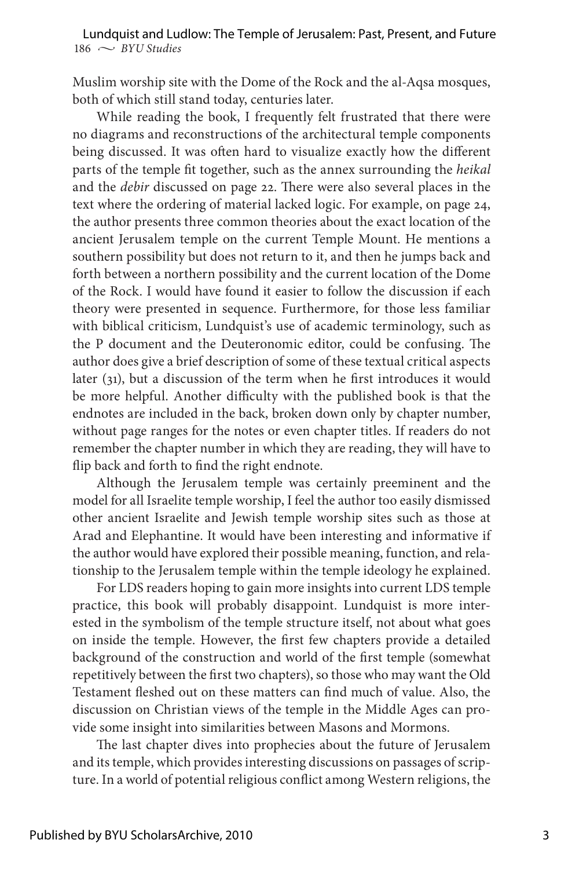$186 \sim$  *BYU Studies* Lundquist and Ludlow: The Temple of Jerusalem: Past, Present, and Future

Muslim worship site with the Dome of the Rock and the al-Aqsa mosques, both of which still stand today, centuries later.

While reading the book, I frequently felt frustrated that there were no diagrams and reconstructions of the architectural temple components being discussed. It was often hard to visualize exactly how the different parts of the temple fit together, such as the annex surrounding the *heikal* and the *debir* discussed on page 22. There were also several places in the text where the ordering of material lacked logic. For example, on page 24, the author presents three common theories about the exact location of the ancient Jerusalem temple on the current Temple Mount. He mentions a southern possibility but does not return to it, and then he jumps back and forth between a northern possibility and the current location of the Dome of the Rock. I would have found it easier to follow the discussion if each theory were presented in sequence. Furthermore, for those less familiar with biblical criticism, Lundquist's use of academic terminology, such as the P document and the Deuteronomic editor, could be confusing. The author does give a brief description of some of these textual critical aspects later (31), but a discussion of the term when he first introduces it would be more helpful. Another difficulty with the published book is that the endnotes are included in the back, broken down only by chapter number, without page ranges for the notes or even chapter titles. If readers do not remember the chapter number in which they are reading, they will have to flip back and forth to find the right endnote.

Although the Jerusalem temple was certainly preeminent and the model for all Israelite temple worship, I feel the author too easily dismissed other ancient Israelite and Jewish temple worship sites such as those at Arad and Elephantine. It would have been interesting and informative if the author would have explored their possible meaning, function, and relationship to the Jerusalem temple within the temple ideology he explained.

For LDS readers hoping to gain more insights into current LDS temple practice, this book will probably disappoint. Lundquist is more interested in the symbolism of the temple structure itself, not about what goes on inside the temple. However, the first few chapters provide a detailed background of the construction and world of the first temple (somewhat repetitively between the first two chapters), so those who may want the Old Testament fleshed out on these matters can find much of value. Also, the discussion on Christian views of the temple in the Middle Ages can provide some insight into similarities between Masons and Mormons.

The last chapter dives into prophecies about the future of Jerusalem and its temple, which provides interesting discussions on passages of scripture. In a world of potential religious conflict among Western religions, the